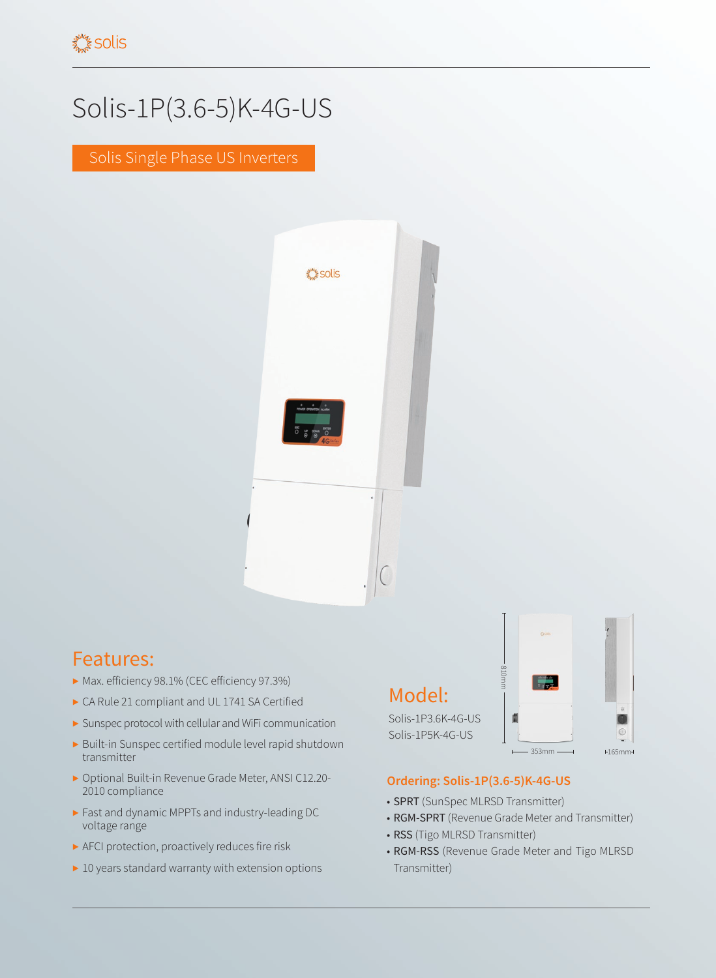## Solis-1P(3.6-5)K-4G-US

Solis Single Phase US Inverters



## Features:

- ▶ Max. efficiency 98.1% (CEC efficiency 97.3%)
- ▶ CA Rule 21 compliant and UL 1741 SA Certified
- ▶ Sunspec protocol with cellular and WiFi communication
- ▶ Built-in Sunspec certified module level rapid shutdown transmitter
- ▶ Optional Built-in Revenue Grade Meter, ANSI C12.20- 2010 compliance
- ▶ Fast and dynamic MPPTs and industry-leading DC voltage range
- ▶ AFCI protection, proactively reduces fire risk
- ▶ 10 years standard warranty with extension options

## Model:

Solis-1P3.6K-4G-US Solis-1P5K-4G-US



## **Ordering: Solis-1P(3.6-5)K-4G-US**

- SPRT (SunSpec MLRSD Transmitter)
- RGM-SPRT (Revenue Grade Meter and Transmitter)
- RSS (Tigo MLRSD Transmitter)
- RGM-RSS (Revenue Grade Meter and Tigo MLRSD Transmitter)